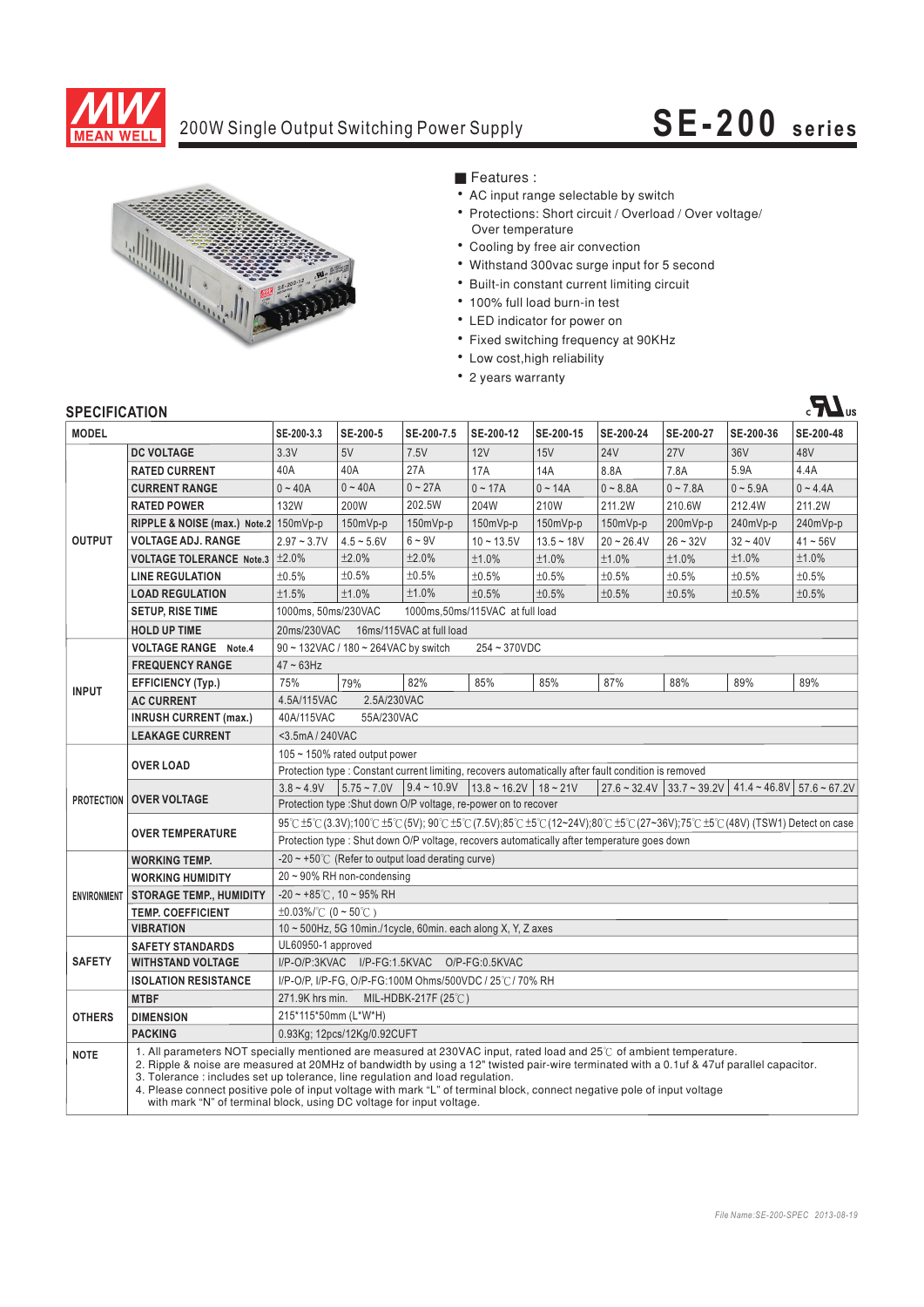

## 200W Single Output Switching Power Supply **SE-200 series**

 $\mathbf{R}$ 



■ Features :

- AC input range selectable by switch
- Protections: Short circuit / Overload / Over voltage/ Over temperature
- Cooling by free air convection
- Withstand 300vac surge input for 5 second
- Built-in constant current limiting circuit
- 100% full load burn-in test
- LED indicator for power on
- Fixed switching frequency at 90KHz
- Low cost, high reliability
- 2 years warranty

## **SPECIFICATION**

| <b>MODEL</b>  |                                                                                                                                                                                                                           | SE-200-3.3                                                                                                                     | SE-200-5                                               | SE-200-7.5    | SE-200-12               | SE-200-15    | SE-200-24                   | SE-200-27  | SE-200-36  | SE-200-48                                                 |
|---------------|---------------------------------------------------------------------------------------------------------------------------------------------------------------------------------------------------------------------------|--------------------------------------------------------------------------------------------------------------------------------|--------------------------------------------------------|---------------|-------------------------|--------------|-----------------------------|------------|------------|-----------------------------------------------------------|
| <b>OUTPUT</b> | <b>DC VOLTAGE</b>                                                                                                                                                                                                         | 3.3V                                                                                                                           | 5V                                                     | 7.5V          | 12V                     | 15V          | <b>24V</b>                  | <b>27V</b> | 36V        | 48V                                                       |
|               | <b>RATED CURRENT</b>                                                                                                                                                                                                      | 40A                                                                                                                            | 40A                                                    | 27A           | <b>17A</b>              | 14A          | 8.8A                        | 7.8A       | 5.9A       | 4.4A                                                      |
|               | <b>CURRENT RANGE</b>                                                                                                                                                                                                      | $0 - 40A$                                                                                                                      | $0 - 40A$                                              | $0 - 27A$     | $0 - 17A$               | $0 - 14A$    | $0 - 8.8A$                  | $0 - 7.8A$ | $0 - 5.9A$ | $0 - 4.4A$                                                |
|               | <b>RATED POWER</b>                                                                                                                                                                                                        | <b>132W</b>                                                                                                                    | 200W                                                   | 202.5W        | 204W                    | 210W         | 211.2W                      | 210.6W     | 212.4W     | 211.2W                                                    |
|               | RIPPLE & NOISE (max.) Note.2 150mVp-p                                                                                                                                                                                     |                                                                                                                                | 150mVp-p                                               | $150mVp-p$    | 150mVp-p                | 150mVp-p     | 150mVp-p                    | 200mVp-p   | 240mVp-p   | 240mVp-p                                                  |
|               | <b>VOLTAGE ADJ. RANGE</b>                                                                                                                                                                                                 | $2.97 - 3.7V$                                                                                                                  | $4.5 - 5.6V$                                           | $6 - 9V$      | $10 - 13.5V$            | $13.5 - 18V$ | $20 - 26.4V$                | $26 - 32V$ | $32 - 40V$ | $41 - 56V$                                                |
|               | <b>VOLTAGE TOLERANCE Note.3</b>                                                                                                                                                                                           | ±2.0%                                                                                                                          | ±2.0%                                                  | ±2.0%         | ±1.0%                   | ±1.0%        | ±1.0%                       | ±1.0%      | ±1.0%      | ±1.0%                                                     |
|               | <b>LINE REGULATION</b>                                                                                                                                                                                                    | ±0.5%                                                                                                                          | ±0.5%                                                  | ±0.5%         | ±0.5%                   | ±0.5%        | ±0.5%                       | ±0.5%      | ±0.5%      | ±0.5%                                                     |
|               | <b>LOAD REGULATION</b>                                                                                                                                                                                                    | ±1.5%                                                                                                                          | ±1.0%                                                  | ±1.0%         | ±0.5%                   | ±0.5%        | ±0.5%                       | ±0.5%      | ±0.5%      | ±0.5%                                                     |
|               | <b>SETUP, RISE TIME</b>                                                                                                                                                                                                   |                                                                                                                                | 1000ms, 50ms/230VAC<br>1000ms.50ms/115VAC at full load |               |                         |              |                             |            |            |                                                           |
|               | <b>HOLD UP TIME</b>                                                                                                                                                                                                       | 20ms/230VAC<br>16ms/115VAC at full load                                                                                        |                                                        |               |                         |              |                             |            |            |                                                           |
|               | <b>VOLTAGE RANGE Note.4</b>                                                                                                                                                                                               | 254~370VDC<br>90 ~ 132VAC / 180 ~ 264VAC by switch                                                                             |                                                        |               |                         |              |                             |            |            |                                                           |
| <b>INPUT</b>  | <b>FREQUENCY RANGE</b>                                                                                                                                                                                                    | $47 \sim 63$ Hz                                                                                                                |                                                        |               |                         |              |                             |            |            |                                                           |
|               | <b>EFFICIENCY (Typ.)</b>                                                                                                                                                                                                  | 75%                                                                                                                            | 79%                                                    | 82%           | 85%                     | 85%          | 87%                         | 88%        | 89%        | 89%                                                       |
|               | <b>AC CURRENT</b>                                                                                                                                                                                                         | 4.5A/115VAC<br>2.5A/230VAC                                                                                                     |                                                        |               |                         |              |                             |            |            |                                                           |
|               | <b>INRUSH CURRENT (max.)</b>                                                                                                                                                                                              | 40A/115VAC<br>55A/230VAC                                                                                                       |                                                        |               |                         |              |                             |            |            |                                                           |
|               | <b>LEAKAGE CURRENT</b>                                                                                                                                                                                                    | <3.5mA / 240VAC                                                                                                                |                                                        |               |                         |              |                             |            |            |                                                           |
|               | <b>OVER LOAD</b>                                                                                                                                                                                                          | 105 ~ 150% rated output power                                                                                                  |                                                        |               |                         |              |                             |            |            |                                                           |
|               |                                                                                                                                                                                                                           | Protection type : Constant current limiting, recovers automatically after fault condition is removed                           |                                                        |               |                         |              |                             |            |            |                                                           |
|               | <b>PROTECTION OVER VOLTAGE</b>                                                                                                                                                                                            | $3.8 - 4.9V$                                                                                                                   | $5.75 - 7.0V$                                          | $9.4 - 10.9V$ | $13.8 - 16.2V$ 18 ~ 21V |              | $27.6 - 32.4V$ 33.7 ~ 39.2V |            |            | $41.4 \approx 46.8 \text{V}$ 57.6 $\approx 67.2 \text{V}$ |
|               |                                                                                                                                                                                                                           | Protection type : Shut down O/P voltage, re-power on to recover                                                                |                                                        |               |                         |              |                             |            |            |                                                           |
|               | <b>OVER TEMPERATURE</b>                                                                                                                                                                                                   | 95°C ±5°C (3.3V);100°C ±5°C (5V); 90°C ±5°C (7.5V);85°C ±5°C (12~24V);80°C ±5°C (27~36V);75°C ±5°C (48V) (TSW1) Detect on case |                                                        |               |                         |              |                             |            |            |                                                           |
|               |                                                                                                                                                                                                                           | Protection type : Shut down O/P voltage, recovers automatically after temperature goes down                                    |                                                        |               |                         |              |                             |            |            |                                                           |
|               | <b>WORKING TEMP.</b>                                                                                                                                                                                                      | $-20 \sim +50^{\circ}$ (Refer to output load derating curve)                                                                   |                                                        |               |                         |              |                             |            |            |                                                           |
|               | <b>WORKING HUMIDITY</b>                                                                                                                                                                                                   | $20 \sim 90\%$ RH non-condensing                                                                                               |                                                        |               |                         |              |                             |            |            |                                                           |
|               | ENVIRONMENT   STORAGE TEMP., HUMIDITY                                                                                                                                                                                     | $-20 \sim +85^{\circ}$ C, 10 ~ 95% RH                                                                                          |                                                        |               |                         |              |                             |            |            |                                                           |
|               | <b>TEMP. COEFFICIENT</b>                                                                                                                                                                                                  | $\pm 0.03\%$ / $\degree$ (0 ~ 50 $\degree$ C)                                                                                  |                                                        |               |                         |              |                             |            |            |                                                           |
|               | <b>VIBRATION</b>                                                                                                                                                                                                          | 10 ~ 500Hz, 5G 10min./1cycle, 60min. each along X, Y, Z axes                                                                   |                                                        |               |                         |              |                             |            |            |                                                           |
| <b>SAFETY</b> | <b>SAFETY STANDARDS</b><br><b>WITHSTAND VOLTAGE</b>                                                                                                                                                                       | UL60950-1 approved                                                                                                             |                                                        |               |                         |              |                             |            |            |                                                           |
|               | <b>ISOLATION RESISTANCE</b>                                                                                                                                                                                               | I/P-O/P:3KVAC I/P-FG:1.5KVAC O/P-FG:0.5KVAC<br>I/P-O/P, I/P-FG, O/P-FG:100M Ohms/500VDC / 25℃/ 70% RH                          |                                                        |               |                         |              |                             |            |            |                                                           |
|               | <b>MTBF</b>                                                                                                                                                                                                               | 271.9K hrs min.<br>MIL-HDBK-217F $(25^{\circ}$ C)                                                                              |                                                        |               |                         |              |                             |            |            |                                                           |
| <b>OTHERS</b> | <b>DIMENSION</b>                                                                                                                                                                                                          | 215*115*50mm (L*W*H)                                                                                                           |                                                        |               |                         |              |                             |            |            |                                                           |
|               | <b>PACKING</b>                                                                                                                                                                                                            | 0.93Kg; 12pcs/12Kg/0.92CUFT                                                                                                    |                                                        |               |                         |              |                             |            |            |                                                           |
|               |                                                                                                                                                                                                                           | 1. All parameters NOT specially mentioned are measured at 230VAC input, rated load and 25°C of ambient temperature.            |                                                        |               |                         |              |                             |            |            |                                                           |
| <b>NOTE</b>   | 2. Ripple & noise are measured at 20MHz of bandwidth by using a 12" twisted pair-wire terminated with a 0.1uf & 47uf parallel capacitor.<br>3. Tolerance: includes set up tolerance, line regulation and load regulation. |                                                                                                                                |                                                        |               |                         |              |                             |            |            |                                                           |
|               | 4. Please connect positive pole of input voltage with mark "L" of terminal block, connect negative pole of input voltage<br>with mark "N" of terminal block, using DC voltage for input voltage.                          |                                                                                                                                |                                                        |               |                         |              |                             |            |            |                                                           |